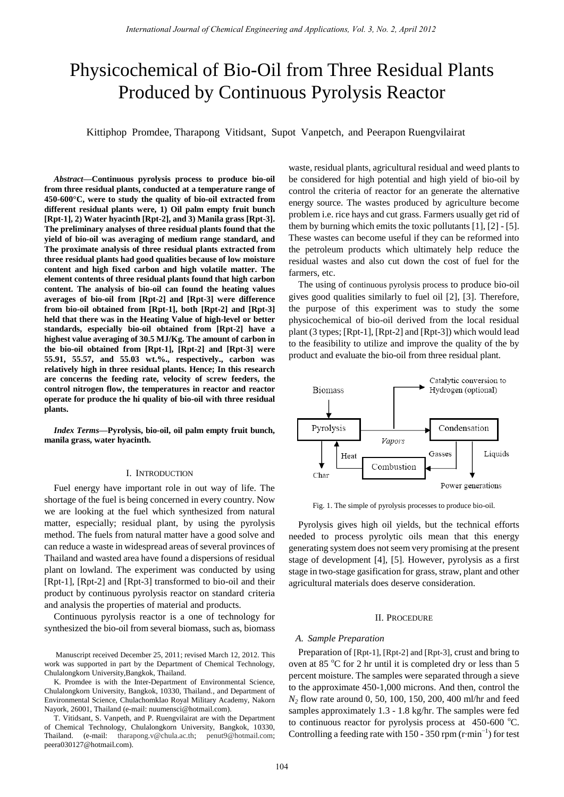# Physicochemical of Bio-Oil from Three Residual Plants Produced by Continuous Pyrolysis Reactor

Kittiphop Promdee, Tharapong Vitidsant, Supot Vanpetch, and Peerapon Ruengvilairat

*Abstract***—Continuous pyrolysis process to produce bio-oil from three residual plants, conducted at a temperature range of 450-600°C, were to study the quality of bio-oil extracted from different residual plants were, 1) Oil palm empty fruit bunch [Rpt-1], 2) Water hyacinth [Rpt-2], and 3) Manila grass [Rpt-3]. The preliminary analyses of three residual plants found that the yield of bio-oil was averaging of medium range standard, and The proximate analysis of three residual plants extracted from three residual plants had good qualities because of low moisture content and high fixed carbon and high volatile matter. The element contents of three residual plants found that high carbon content. The analysis of bio-oil can found the heating values averages of bio-oil from [Rpt-2] and [Rpt-3] were difference from bio-oil obtained from [Rpt-1], both [Rpt-2] and [Rpt-3] held that there was in the Heating Value of high-level or better standards, especially bio-oil obtained from [Rpt-2] have a highest value averaging of 30.5 MJ/Kg. The amount of carbon in the bio-oil obtained from [Rpt-1], [Rpt-2] and [Rpt-3] were 55.91, 55.57, and 55.03 wt.%., respectively., carbon was relatively high in three residual plants. Hence; In this research are concerns the feeding rate, velocity of screw feeders, the control nitrogen flow, the temperatures in reactor and reactor operate for produce the hi quality of bio-oil with three residual plants.**

*Index Terms***—Pyrolysis, bio-oil, oil palm empty fruit bunch, manila grass, water hyacinth.**

## I. INTRODUCTION

Fuel energy have important role in out way of life. The shortage of the fuel is being concerned in every country. Now we are looking at the fuel which synthesized from natural matter, especially; residual plant, by using the pyrolysis method. The fuels from natural matter have a good solve and can reduce a waste in widespread areas of several provinces of Thailand and wasted area have found a dispersions of residual plant on lowland. The experiment was conducted by using [Rpt-1], [Rpt-2] and [Rpt-3] transformed to bio-oil and their product by continuous pyrolysis reactor on standard criteria and analysis the properties of material and products.

Continuous pyrolysis reactor is a one of technology for synthesized the bio-oil from several biomass, such as, biomass

 Manuscript received December 25, 2011; revised March 12, 2012. This work was supported in part by the Department of Chemical Technology, Chulalongkorn University,Bangkok, Thailand.

K. Promdee is with the Inter-Department of Environmental Science, Chulalongkorn University, Bangkok, 10330, Thailand., and Department of Environmental Science, Chulachomklao Royal Military Academy, Nakorn Nayork, 26001, Thailand (e-mail: nuumensci@hotmail.com).

T. Vitidsant, S. Vanpeth, and P. Ruengvilairat are with the Department of Chemical Technology, Chulalongkorn University, Bangkok, 10330, Thailand. (e-mail: tharapong.v@chula.ac.th; penut9@hotmail.com; peera030127@hotmail.com).

waste, residual plants, agricultural residual and weed plants to be considered for high potential and high yield of bio-oil by control the criteria of reactor for an generate the alternative energy source. The wastes produced by agriculture become problem i.e. rice hays and cut grass. Farmers usually get rid of them by burning which emits the toxic pollutants [1], [2] - [5]. These wastes can become useful if they can be reformed into the petroleum products which ultimately help reduce the residual wastes and also cut down the cost of fuel for the farmers, etc.

The using of continuous pyrolysis process to produce bio-oil gives good qualities similarly to fuel oil [2], [3]. Therefore, the purpose of this experiment was to study the some physicochemical of bio-oil derived from the local residual plant (3 types; [Rpt-1], [Rpt-2] and [Rpt-3]) which would lead to the feasibility to utilize and improve the quality of the by product and evaluate the bio-oil from three residual plant.



Fig. 1. The simple of pyrolysis processes to produce bio-oil.

Pyrolysis gives high oil yields, but the technical efforts needed to process pyrolytic oils mean that this energy generating system does not seem very promising at the present stage of development [4], [5]. However, pyrolysis as a first stage in two-stage gasification for grass, straw, plant and other agricultural materials does deserve consideration.

## II. PROCEDURE

# *A. Sample Preparation*

Preparation of [Rpt-1], [Rpt-2] and [Rpt-3], crust and bring to oven at 85  $\degree$ C for 2 hr until it is completed dry or less than 5 percent moisture. The samples were separated through a sieve to the approximate 450-1,000 microns. And then, control the *N<sup>2</sup>* flow rate around 0, 50, 100, 150, 200, 400 ml/hr and feed samples approximately 1.3 - 1.8 kg/hr. The samples were fed to continuous reactor for pyrolysis process at  $450-600$  °C. Controlling a feeding rate with 150 - 350 rpm ( $r \text{ min}^{-1}$ ) for test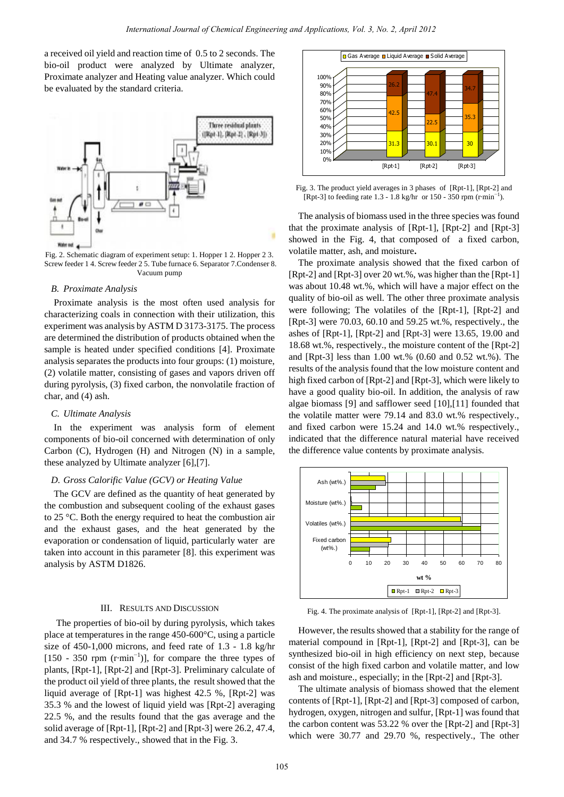a received oil yield and reaction time of 0.5 to 2 seconds. The bio-oil product were analyzed by Ultimate analyzer, Proximate analyzer and Heating value analyzer. Which could be evaluated by the standard criteria.



Fig. 2. Schematic diagram of experiment setup: 1. Hopper 1 2. Hopper 2 3. Screw feeder 1 4. Screw feeder 2 5. Tube furnace 6. Separator 7.Condenser 8. Vacuum pump

## *B. Proximate Analysis*

Proximate analysis is the most often used analysis for characterizing coals in connection with their utilization, this experiment was analysis by ASTM D 3173-3175. The process are determined the distribution of products obtained when the sample is heated under specified conditions [4]. Proximate analysis separates the products into four groups: (1) moisture, (2) volatile matter, consisting of gases and vapors driven off during pyrolysis, (3) fixed carbon, the nonvolatile fraction of char, and (4) ash.

#### *C. Ultimate Analysis*

In the experiment was analysis form of element components of bio-oil concerned with determination of only Carbon (C), Hydrogen (H) and Nitrogen (N) in a sample, these analyzed by Ultimate analyzer [6],[7].

# *D. Gross Calorific Value (GCV) or Heating Value*

The GCV are defined as the quantity of heat generated by the combustion and subsequent cooling of the exhaust gases to 25 °C. Both the energy required to heat the combustion air and the exhaust gases, and the heat generated by the evaporation or condensation of liquid, particularly water are taken into account in this parameter [8]. this experiment was analysis by ASTM D1826.

# III. RESULTS AND DISCUSSION

 The properties of bio-oil by during pyrolysis, which takes place at temperatures in the range  $450-600 \text{ C}$ , using a particle size of 450-1,000 microns, and feed rate of 1.3 - 1.8 kg/hr [150 - 350 rpm  $(r \text{ min}^{-1})$ ], for compare the three types of plants, [Rpt-1], [Rpt-2] and [Rpt-3]. Preliminary calculate of the product oil yield of three plants, the result showed that the liquid average of [Rpt-1] was highest 42.5 %, [Rpt-2] was 35.3 % and the lowest of liquid yield was [Rpt-2] averaging 22.5 %, and the results found that the gas average and the solid average of [Rpt-1], [Rpt-2] and [Rpt-3] were 26.2, 47.4, and 34.7 % respectively., showed that in the Fig. 3.



Fig. 3. The product yield averages in 3 phases of [Rpt-1], [Rpt-2] and [Rpt-3] to feeding rate  $1.3 - 1.8$  kg/hr or  $150 - 350$  rpm (r min<sup>-1</sup>).

The analysis of biomass used in the three species was found that the proximate analysis of [Rpt-1], [Rpt-2] and [Rpt-3] showed in the Fig. 4, that composed of a fixed carbon, volatile matter, ash, and moisture**.**

The proximate analysis showed that the fixed carbon of [Rpt-2] and [Rpt-3] over 20 wt.%, was higher than the [Rpt-1] was about 10.48 wt.%, which will have a major effect on the quality of bio-oil as well. The other three proximate analysis were following; The volatiles of the [Rpt-1], [Rpt-2] and [Rpt-3] were 70.03, 60.10 and 59.25 wt.%, respectively., the ashes of [Rpt-1], [Rpt-2] and [Rpt-3] were 13.65, 19.00 and 18.68 wt.%, respectively., the moisture content of the [Rpt-2] and [Rpt-3] less than 1.00 wt.% (0.60 and 0.52 wt.%). The results of the analysis found that the low moisture content and high fixed carbon of [Rpt-2] and [Rpt-3], which were likely to have a good quality bio-oil. In addition, the analysis of raw algae biomass [9] and safflower seed [10],[11] founded that the volatile matter were 79.14 and 83.0 wt.% respectively., and fixed carbon were 15.24 and 14.0 wt.% respectively., indicated that the difference natural material have received the difference value contents by proximate analysis.



Fig. 4. The proximate analysis of [Rpt-1], [Rpt-2] and [Rpt-3].

However, the results showed that a stability for the range of material compound in [Rpt-1], [Rpt-2] and [Rpt-3], can be synthesized bio-oil in high efficiency on next step, because consist of the high fixed carbon and volatile matter, and low ash and moisture., especially; in the [Rpt-2] and [Rpt-3].

The ultimate analysis of biomass showed that the element contents of [Rpt-1], [Rpt-2] and [Rpt-3] composed of carbon, hydrogen, oxygen, nitrogen and sulfur, [Rpt-1] was found that the carbon content was 53.22 % over the [Rpt-2] and [Rpt-3] which were 30.77 and 29.70 %, respectively., The other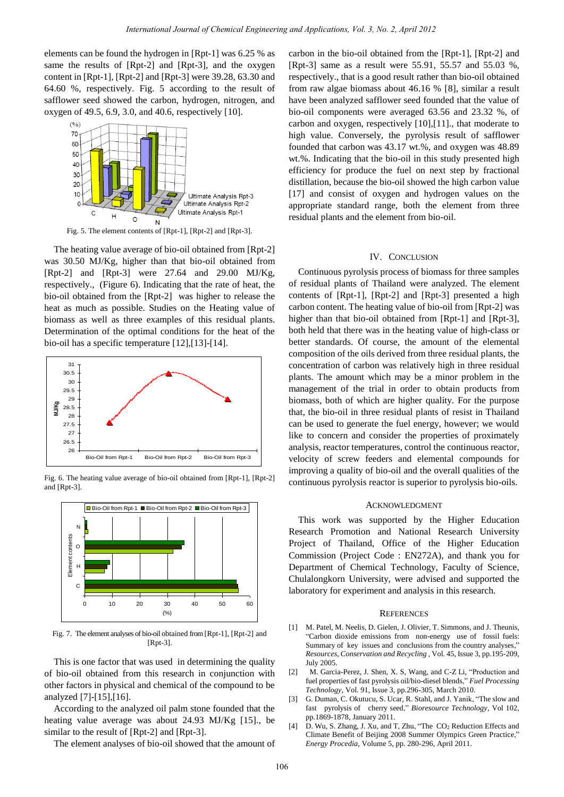elements can be found the hydrogen in [Rpt-1] was 6.25 % as same the results of [Rpt-2] and [Rpt-3], and the oxygen content in [Rpt-1], [Rpt-2] and [Rpt-3] were 39.28, 63.30 and 64.60 %, respectively. Fig. 5 according to the result of safflower seed showed the carbon, hydrogen, nitrogen, and oxygen of 49.5, 6.9, 3.0, and 40.6, respectively [10].



Fig. 5. The element contents of [Rpt-1], [Rpt-2] and [Rpt-3].

The heating value average of bio-oil obtained from [Rpt-2] was 30.50 MJ/Kg, higher than that bio-oil obtained from [Rpt-2] and [Rpt-3] were 27.64 and 29.00 MJ/Kg, respectively., (Figure 6). Indicating that the rate of heat, the bio-oil obtained from the [Rpt-2] was higher to release the heat as much as possible. Studies on the Heating value of biomass as well as three examples of this residual plants. Determination of the optimal conditions for the heat of the bio-oil has a specific temperature [12],[13]-[14].



Fig. 6. The heating value average of bio-oil obtained from [Rpt-1], [Rpt-2] and [Rpt-3].



Fig. 7. The element analyses of bio-oil obtained from [Rpt-1], [Rpt-2] and [Rpt-3].

This is one factor that was used in determining the quality of bio-oil obtained from this research in conjunction with other factors in physical and chemical of the compound to be analyzed [7]-[15],[16].

According to the analyzed oil palm stone founded that the heating value average was about 24.93 MJ/Kg [15]., be similar to the result of [Rpt-2] and [Rpt-3].

The element analyses of bio-oil showed that the amount of

carbon in the bio-oil obtained from the [Rpt-1], [Rpt-2] and [Rpt-3] same as a result were 55.91, 55.57 and 55.03 %, respectively., that is a good result rather than bio-oil obtained from raw algae biomass about 46.16 % [8], similar a result have been analyzed safflower seed founded that the value of bio-oil components were averaged 63.56 and 23.32 %, of carbon and oxygen, respectively [10],[11]., that moderate to high value. Conversely, the pyrolysis result of safflower founded that carbon was 43.17 wt.%, and oxygen was 48.89 wt.%. Indicating that the bio-oil in this study presented high efficiency for produce the fuel on next step by fractional distillation, because the bio-oil showed the high carbon value [17] and consist of oxygen and hydrogen values on the appropriate standard range, both the element from three residual plants and the element from bio-oil.

## IV. CONCLUSION

Continuous pyrolysis process of biomass for three samples of residual plants of Thailand were analyzed. The element contents of [Rpt-1], [Rpt-2] and [Rpt-3] presented a high carbon content. The heating value of bio-oil from [Rpt-2] was higher than that bio-oil obtained from [Rpt-1] and [Rpt-3], both held that there was in the heating value of high-class or better standards. Of course, the amount of the elemental composition of the oils derived from three residual plants, the concentration of carbon was relatively high in three residual plants. The amount which may be a minor problem in the management of the trial in order to obtain products from biomass, both of which are higher quality. For the purpose that, the bio-oil in three residual plants of resist in Thailand can be used to generate the fuel energy, however; we would like to concern and consider the properties of proximately analysis, reactor temperatures, control the continuous reactor, velocity of screw feeders and elemental compounds for improving a quality of bio-oil and the overall qualities of the continuous pyrolysis reactor is superior to pyrolysis bio-oils.

## ACKNOWLEDGMENT

This work was supported by the Higher Education Research Promotion and National Research University Project of Thailand, Office of the Higher Education Commission (Project Code : EN272A), and thank you for Department of Chemical Technology, Faculty of Science, Chulalongkorn University, were advised and supported the laboratory for experiment and analysis in this research.

#### **REFERENCES**

- [1] M. Patel, M. Neelis, D. Gielen, J. Olivier, T. Simmons, and J. Theunis, "Carbon dioxide emissions from non-energy use of fossil fuels: Summary of key issues and conclusions from the country analyses," *Resources, Conservation and Recycling ,* Vol. 45, Issue 3, pp.195-209, July 2005.
- [2] M. Garcia-Perez, J. Shen, X. S, Wang, and C-Z Li, "Production and fuel properties of fast pyrolysis oil/bio-diesel blends," *Fuel Processing Technology*, Vol. 91, Issue 3, pp.296-305, March 2010.
- [3] G. Duman, C. Okutucu, S. Ucar, R. Stahl, and J. Yanik, "The slow and fast pyrolysis of cherry seed," *Bioresource Technology*, Vol 102, pp.1869-1878, January 2011.
- [4] D. Wu, S. Zhang, J. Xu, and T, Zhu, "The CO<sub>2</sub> Reduction Effects and Climate Benefit of Beijing 2008 Summer Olympics Green Practice," *Energy Procedia*, Volume 5, pp. 280-296, April 2011.